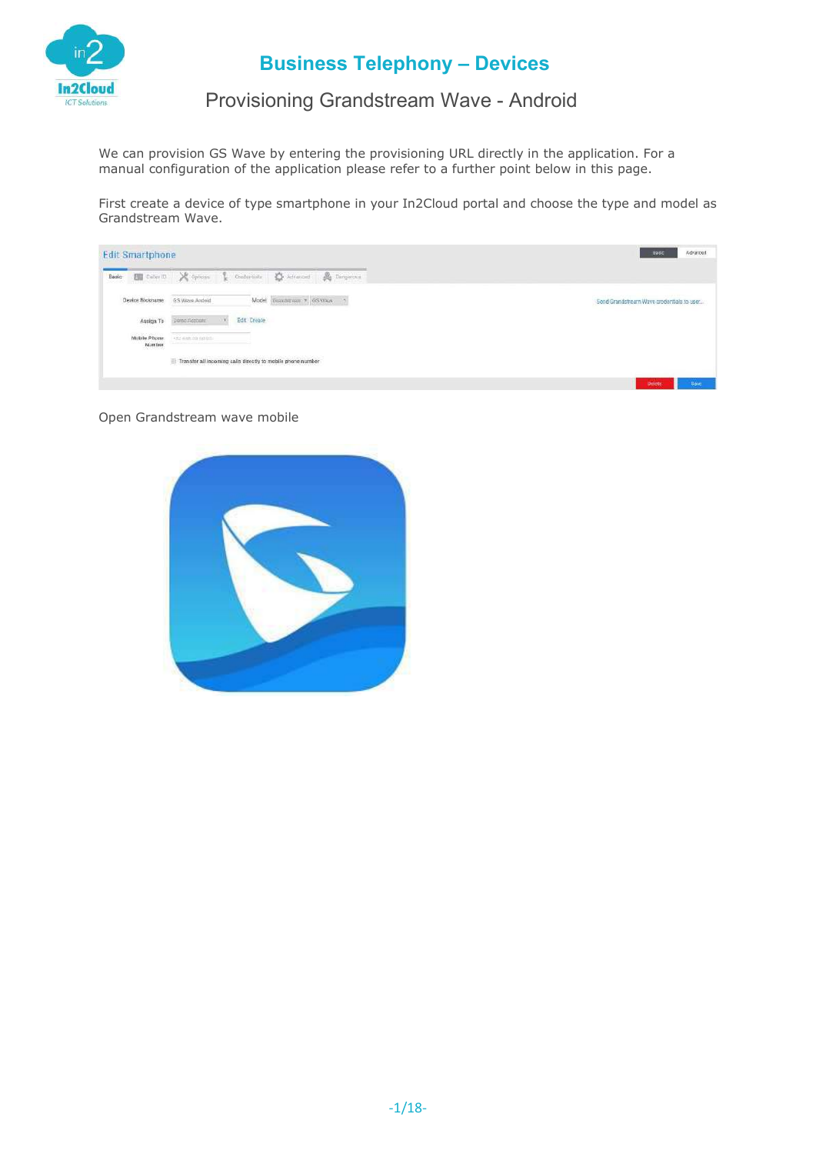

Provisioning Grandstream Wave - Android

We can provision GS Wave by entering the provisioning URL directly in the application. For a manual configuration of the application please refer to a further point below in this page.

First create a device of type smartphone in your In2Cloud portal and choose the type and model as Grandstream Wave.

| <b>Edit Smartphone</b> |                                                                      | Advistod<br>Basic                         |
|------------------------|----------------------------------------------------------------------|-------------------------------------------|
| Basic                  | <b>Ell</b> Caller ID X Options & Centerlooks 3 Adverted & Dangerous  |                                           |
| Device Nickissane      | G.S. Waye Andold<br>Model Guandariam * GS Ways *                     | Send Grandstream Wave credentials to user |
| Assign To<br>--------  | Dorso Adobant<br>Edit Create                                         |                                           |
| Mobile Phone<br>Number | $-32.448.09889.$                                                     |                                           |
|                        | $\equiv$ Transfer all incoming calls directly to mobile phone number |                                           |
|                        |                                                                      | <b>ISHIMER</b>                            |

Open Grandstream wave mobile

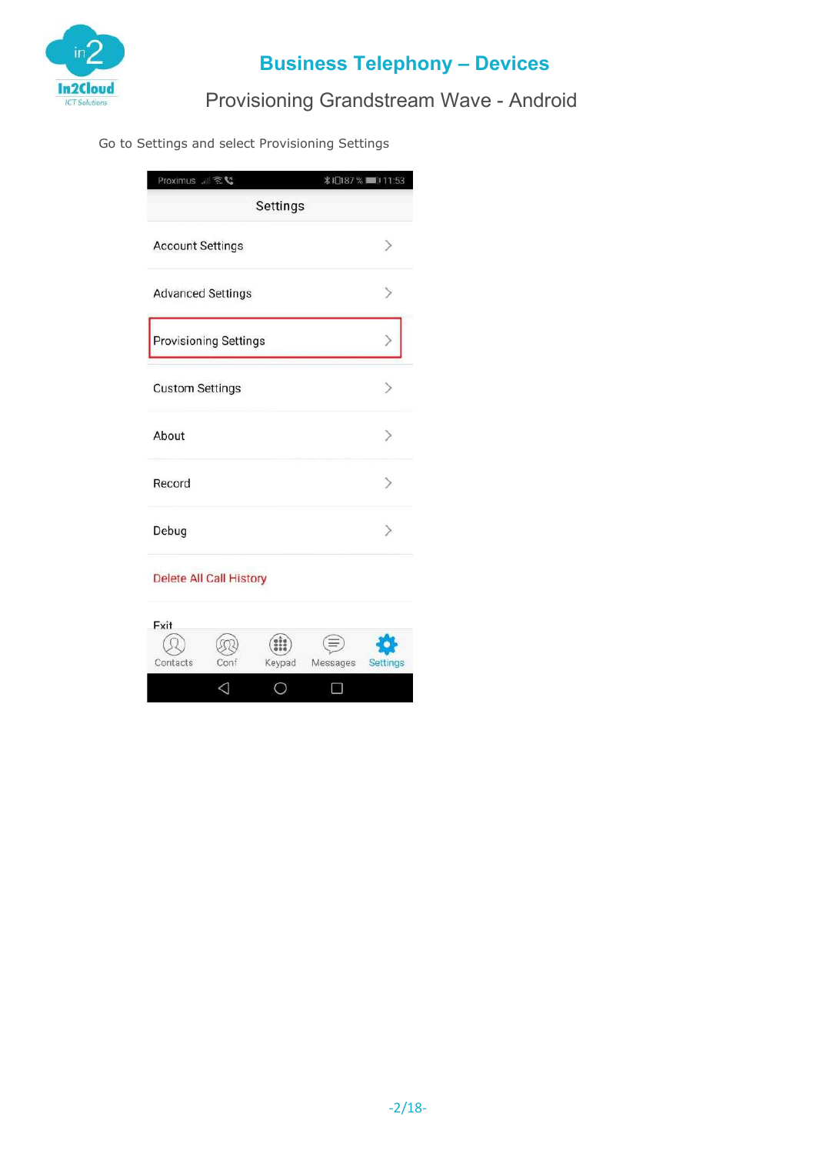

### Provisioning Grandstream Wave - Android

#### Go to Settings and select Provisioning Settings

| Proximus    호텔               | <b>  1 11:87 % ■ 11:53</b> |
|------------------------------|----------------------------|
| Settings                     |                            |
| <b>Account Settings</b>      |                            |
| <b>Advanced Settings</b>     |                            |
| <b>Provisioning Settings</b> |                            |
| <b>Custom Settings</b>       |                            |
| About                        |                            |
| Record                       |                            |
| Debug                        |                            |

#### Delete All Call History

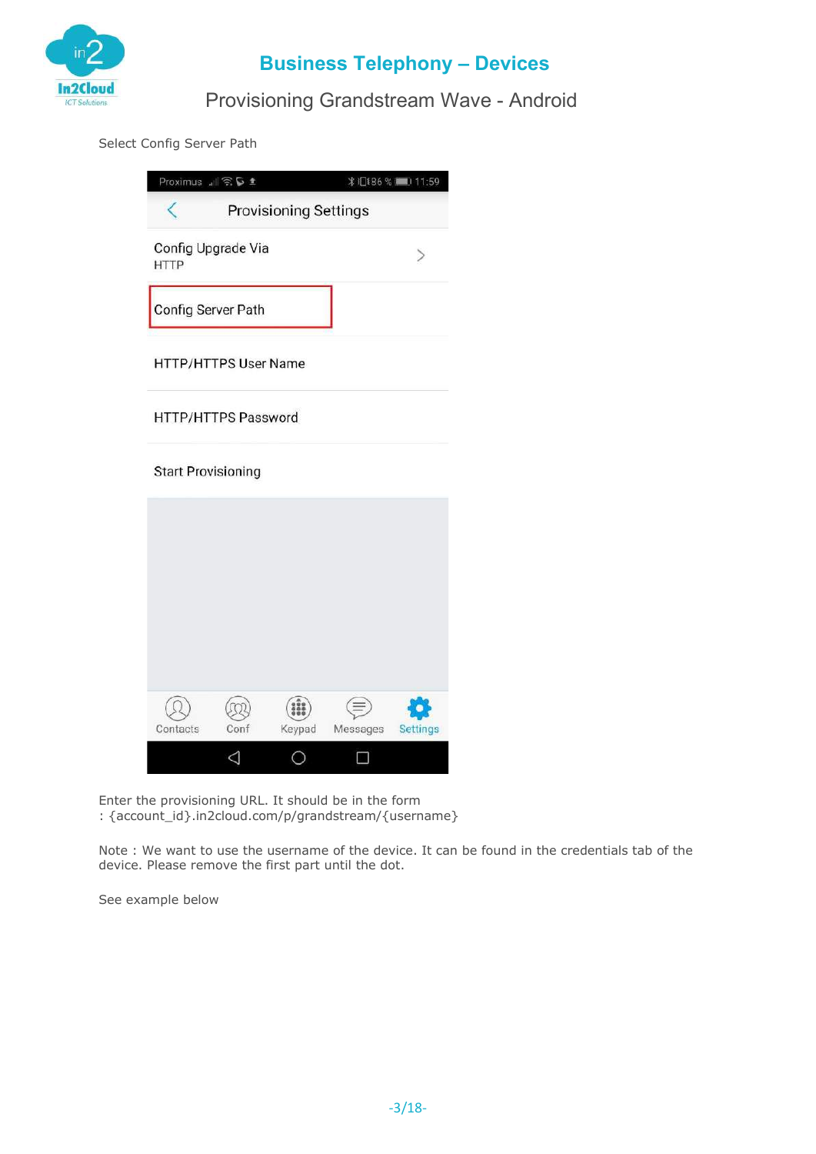

Provisioning Grandstream Wave - Android

Select Config Server Path

| Proximus     宗 D ±                |      |                              |          |                 |
|-----------------------------------|------|------------------------------|----------|-----------------|
|                                   |      | <b>Provisioning Settings</b> |          |                 |
| Config Upgrade Via<br><b>HTTP</b> |      |                              |          |                 |
| Config Server Path                |      |                              |          |                 |
| <b>HTTP/HTTPS User Name</b>       |      |                              |          |                 |
| HTTP/HTTPS Password               |      |                              |          |                 |
| <b>Start Provisioning</b>         |      |                              |          |                 |
|                                   |      |                              |          |                 |
|                                   |      |                              |          |                 |
|                                   |      |                              |          |                 |
|                                   |      |                              |          |                 |
| Contacts                          | Conf | Keypad                       | Messages | <b>Settings</b> |
|                                   |      |                              |          |                 |

Enter the provisioning URL. It should be in the form : {account\_id}.in2cloud.com/p/grandstream/{username}

Note : We want to use the username of the device. It can be found in the credentials tab of the device. Please remove the first part until the dot.

See example below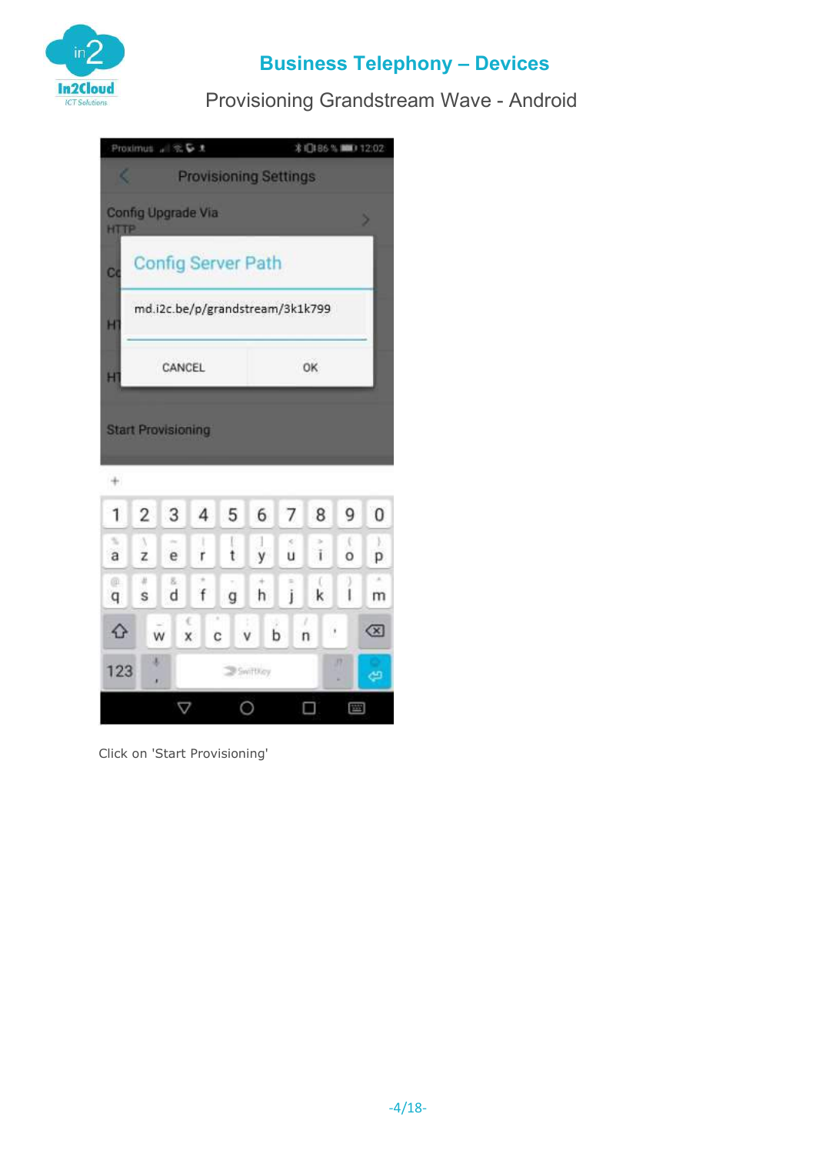

Provisioning Grandstream Wave - Android



Click on 'Start Provisioning'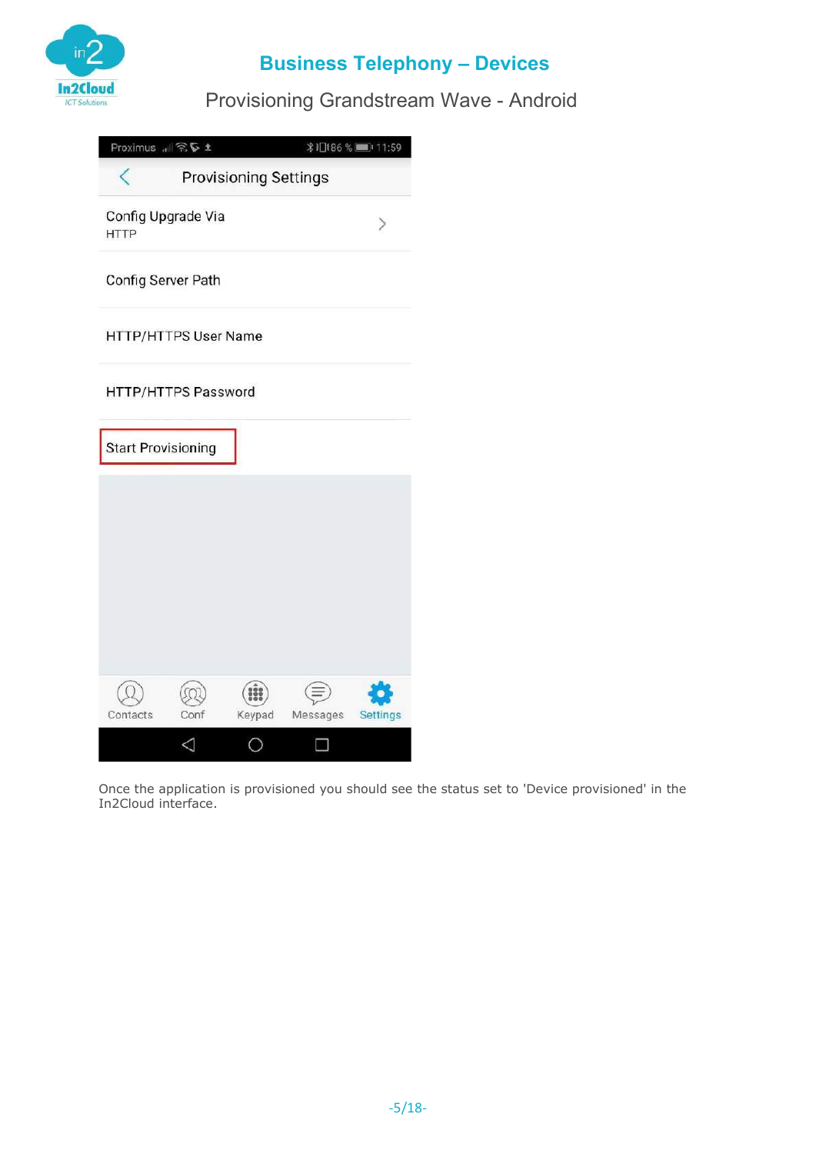

Provisioning Grandstream Wave - Android

|             | Proximus .   全い主          |                       |          |          |
|-------------|---------------------------|-----------------------|----------|----------|
|             |                           | Provisioning Settings |          |          |
| <b>HTTP</b> | Config Upgrade Via        |                       |          |          |
|             | Config Server Path        |                       |          |          |
|             | HTTP/HTTPS User Name      |                       |          |          |
|             | HTTP/HTTPS Password       |                       |          |          |
|             | <b>Start Provisioning</b> |                       |          |          |
|             |                           |                       |          |          |
|             |                           |                       |          |          |
|             |                           |                       |          |          |
|             |                           |                       |          |          |
| Contacts    | Conf                      | Keypad                | Messages | Settings |
|             | ⊲                         |                       |          |          |

Once the application is provisioned you should see the status set to 'Device provisioned' in the In2Cloud interface.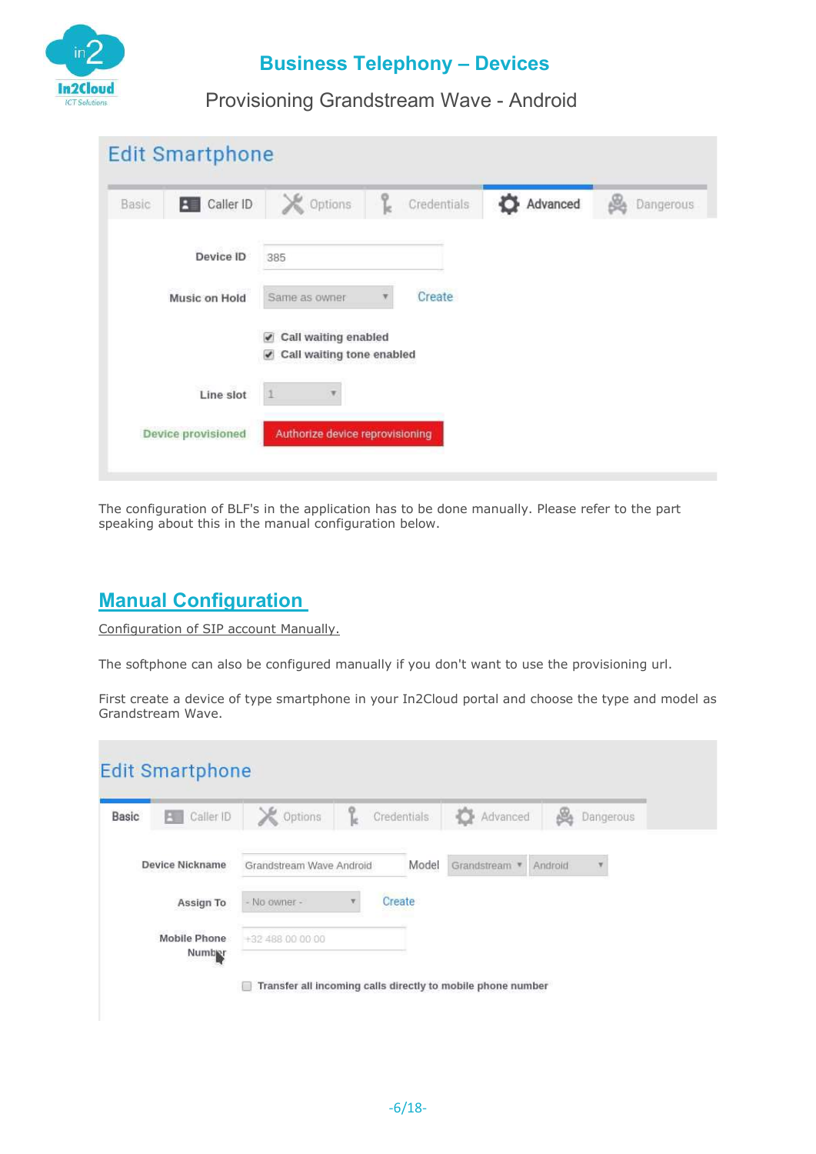

Provisioning Grandstream Wave - Android

| Basic         | <b>B</b> Caller ID | <b>X</b> Options                                                                               | q. | Credentials | Advanced | Dangerous |
|---------------|--------------------|------------------------------------------------------------------------------------------------|----|-------------|----------|-----------|
|               | Device ID          | 385                                                                                            |    |             |          |           |
| Music on Hold |                    | Same as owner                                                                                  |    | Create      |          |           |
|               |                    | Call waiting enabled<br>$\mathcal{I}$<br>Call waiting tone enabled<br>$\overline{\mathcal{L}}$ |    |             |          |           |
|               | Line slot          |                                                                                                |    |             |          |           |
|               | Device provisioned | Authorize device reprovisioning                                                                |    |             |          |           |

The configuration of BLF's in the application has to be done manually. Please refer to the part speaking about this in the manual configuration below.

#### Manual Configuration

Configuration of SIP account Manually.

The softphone can also be configured manually if you don't want to use the provisioning url.

First create a device of type smartphone in your In2Cloud portal and choose the type and model as Grandstream Wave.

| Basic | Caller ID<br>۴e               | <b>X</b> Options         | q. | Credentials | Advanced<br>电下 | ł<br>Dangerous |
|-------|-------------------------------|--------------------------|----|-------------|----------------|----------------|
|       | <b>Device Nickname</b>        | Grandstream Wave Android |    | Model       | Grandstream *  | Android        |
|       | Assign To                     | - No owner -             |    | Create      |                |                |
|       | <b>Mobile Phone</b><br>Number | $+32488000000$           |    |             |                |                |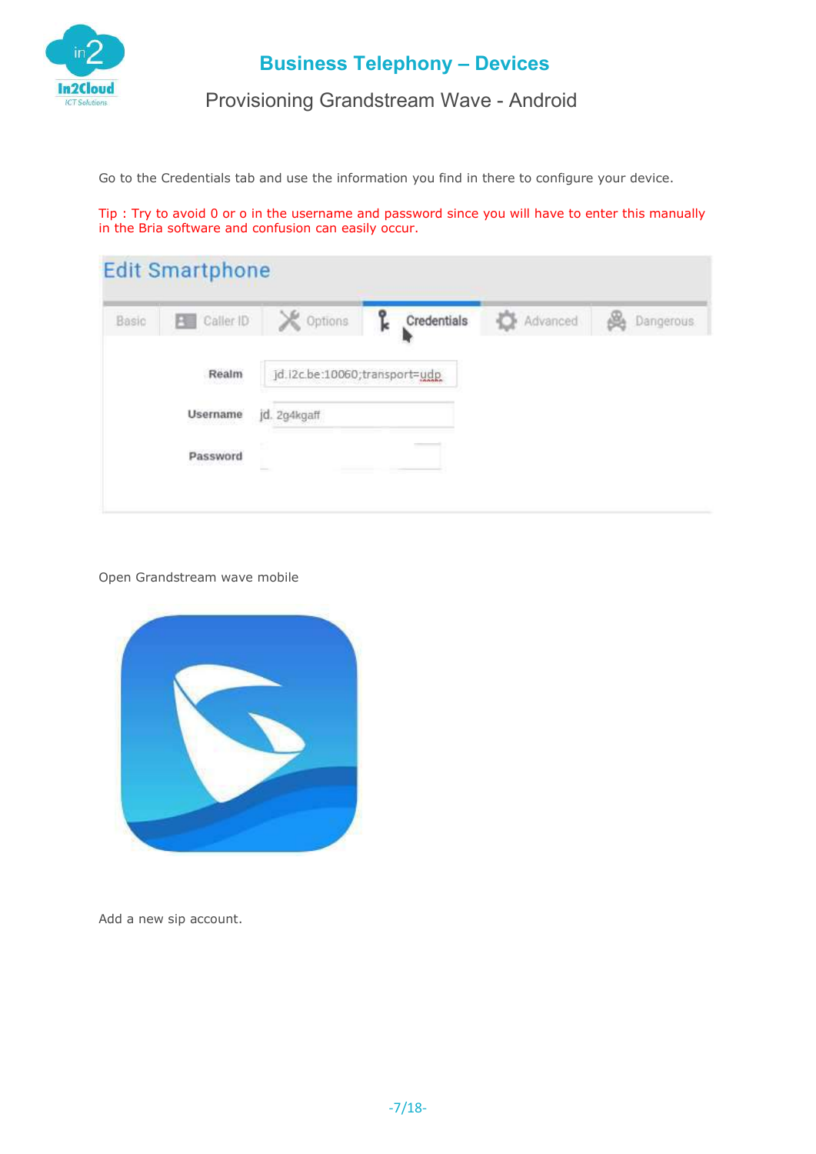

Provisioning Grandstream Wave - Android

Go to the Credentials tab and use the information you find in there to configure your device.

Tip : Try to avoid 0 or o in the username and password since you will have to enter this manually in the Bria software and confusion can easily occur.

| Basic | Caller ID<br>B                                 | <b>X</b> Options              | ို့<br>Credentials | Advanced | Dangerous |
|-------|------------------------------------------------|-------------------------------|--------------------|----------|-----------|
|       | Realm                                          | jd.i2c.be:10060;transport=udp |                    |          |           |
|       | Username<br>and a series of the product of a   | jd. 2g4kgaff                  |                    |          |           |
|       | Password<br>THE R. P. LEWIS CO., LANSING MICH. |                               |                    |          |           |

Open Grandstream wave mobile



Add a new sip account.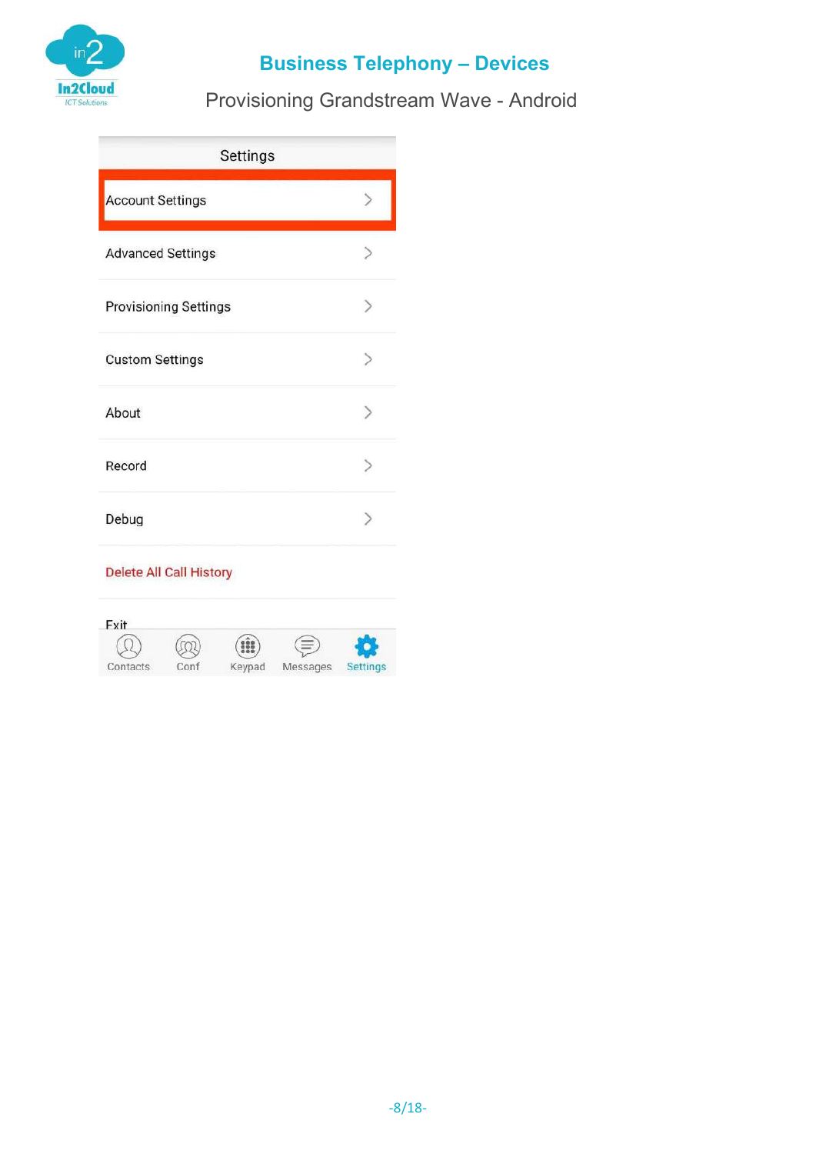

Provisioning Grandstream Wave - Android

| Settings                 |  |
|--------------------------|--|
| <b>Account Settings</b>  |  |
| <b>Advanced Settings</b> |  |
| Provisioning Settings    |  |
| <b>Custom Settings</b>   |  |
| About                    |  |
| Record                   |  |
| Debug                    |  |

#### **Delete All Call History**

| Fyit     |     |        |          |         |
|----------|-----|--------|----------|---------|
|          |     |        |          |         |
| Contacts | Con | Keypad | Messages | ettings |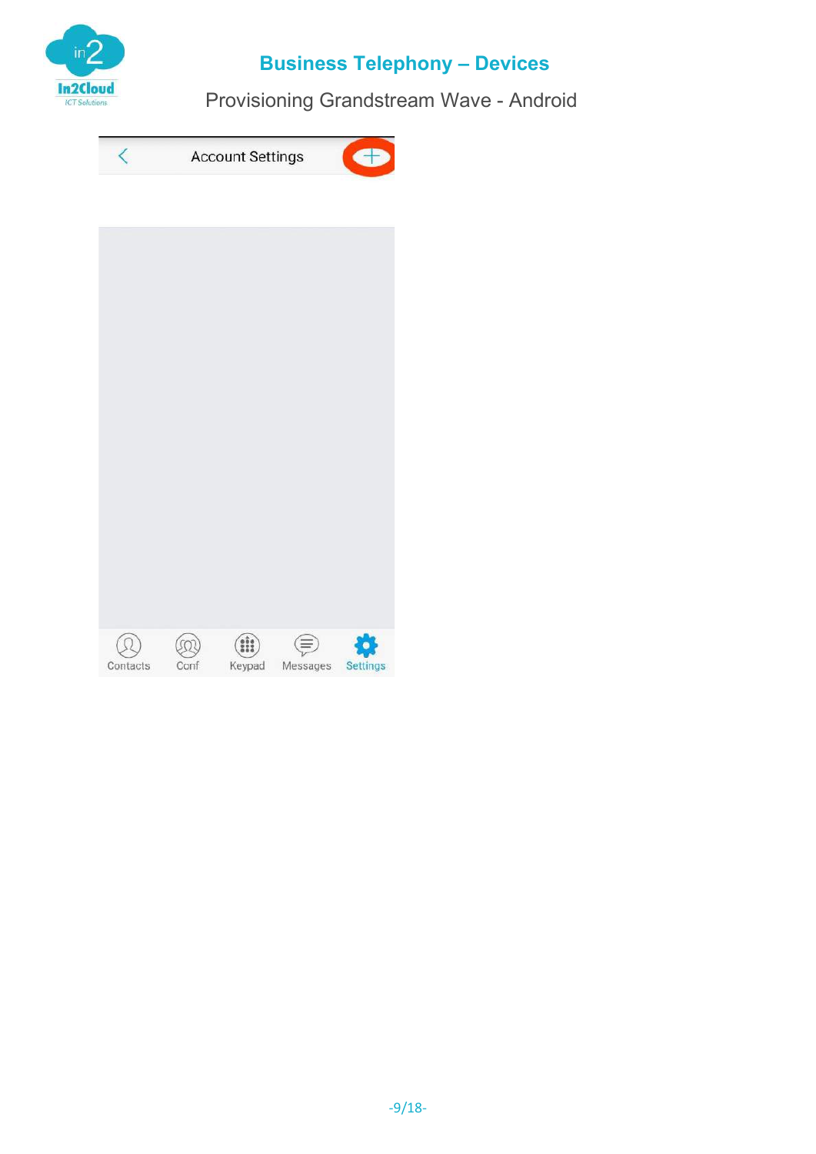

Provisioning Grandstream Wave - Android

|  | <b>Account Settings</b> |  |
|--|-------------------------|--|
|--|-------------------------|--|

| L | <b>iii</b> ) | $\bigoplus$ | 券 |
|---|--------------|-------------|---|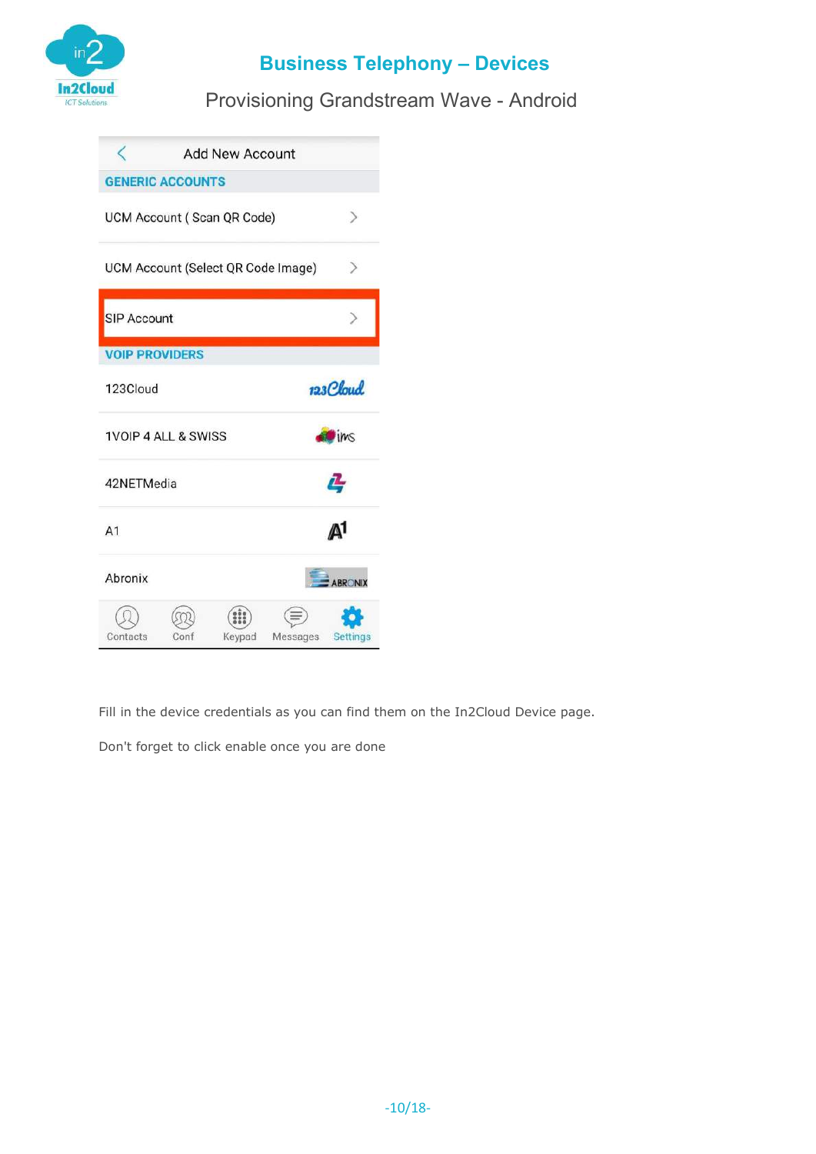

### Provisioning Grandstream Wave - Android

|                                    |      | <b>Add New Account</b> |                          |              |
|------------------------------------|------|------------------------|--------------------------|--------------|
| <b>GENERIC ACCOUNTS</b>            |      |                        |                          |              |
| <b>UCM Account (Scan QR Code)</b>  |      |                        |                          |              |
| UCM Account (Select QR Code Image) |      |                        |                          |              |
| <b>SIP Account</b>                 |      |                        |                          |              |
| <b>VOIP PROVIDERS</b>              |      |                        |                          |              |
| 123Cloud                           |      |                        |                          | $123$ Cloud  |
| 1VOIP 4 ALL & SWISS                |      |                        |                          | <b>U</b> IMS |
| 42NETMedia                         |      |                        |                          | 4            |
| A <sub>1</sub>                     |      |                        |                          | Д1           |
| Abronix                            |      |                        |                          | ABRONIX      |
| Contacts                           | Conf |                        | Keypad Messages Settings |              |

Fill in the device credentials as you can find them on the In2Cloud Device page.

Don't forget to click enable once you are done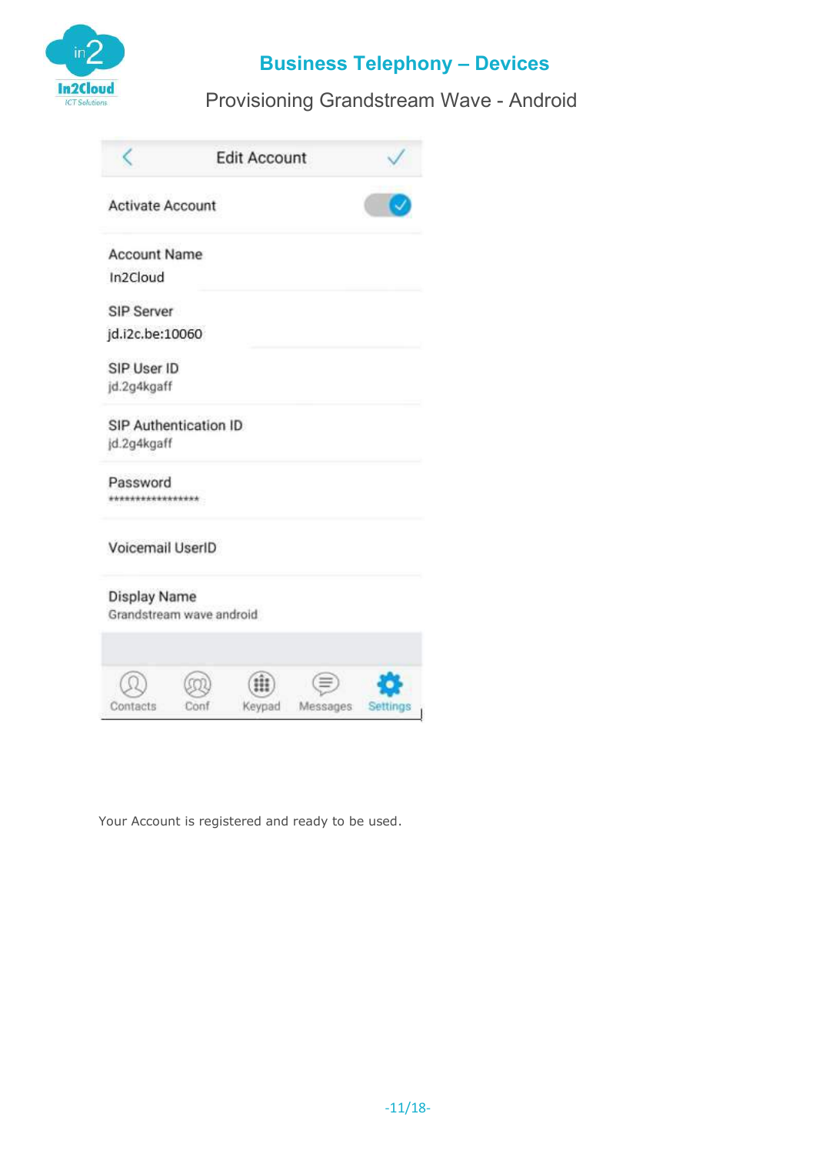

Provisioning Grandstream Wave - Android

| <b>Activate Account</b><br><b>Account Name</b> |                          |          |          |
|------------------------------------------------|--------------------------|----------|----------|
|                                                |                          |          |          |
|                                                |                          |          |          |
| In2Cloud                                       |                          |          |          |
| SIP Server                                     |                          |          |          |
| jd.i2c.be:10060                                |                          |          |          |
| SIP User ID                                    |                          |          |          |
| jd.2g4kgaff                                    |                          |          |          |
| SIP Authentication ID                          |                          |          |          |
| jd.2g4kgaff                                    |                          |          |          |
| Password                                       |                          |          |          |
| ****************                               |                          |          |          |
| Voicemail UserID                               |                          |          |          |
| Display Name                                   |                          |          |          |
|                                                | Grandstream wave android |          |          |
|                                                |                          |          |          |
| Contacts                                       | Keypad<br>Conf           | Messages | Settings |

Your Account is registered and ready to be used.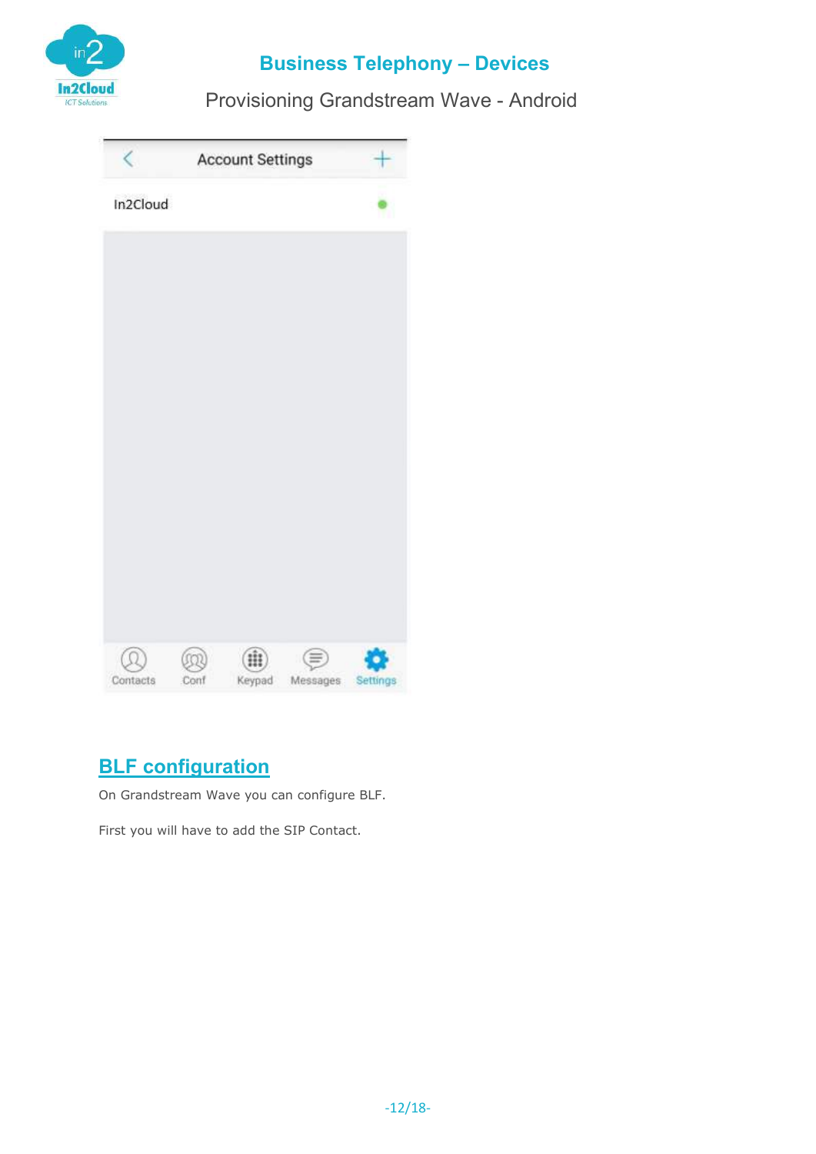

Provisioning Grandstream Wave - Android



### **BLF** configuration

On Grandstream Wave you can configure BLF.

First you will have to add the SIP Contact.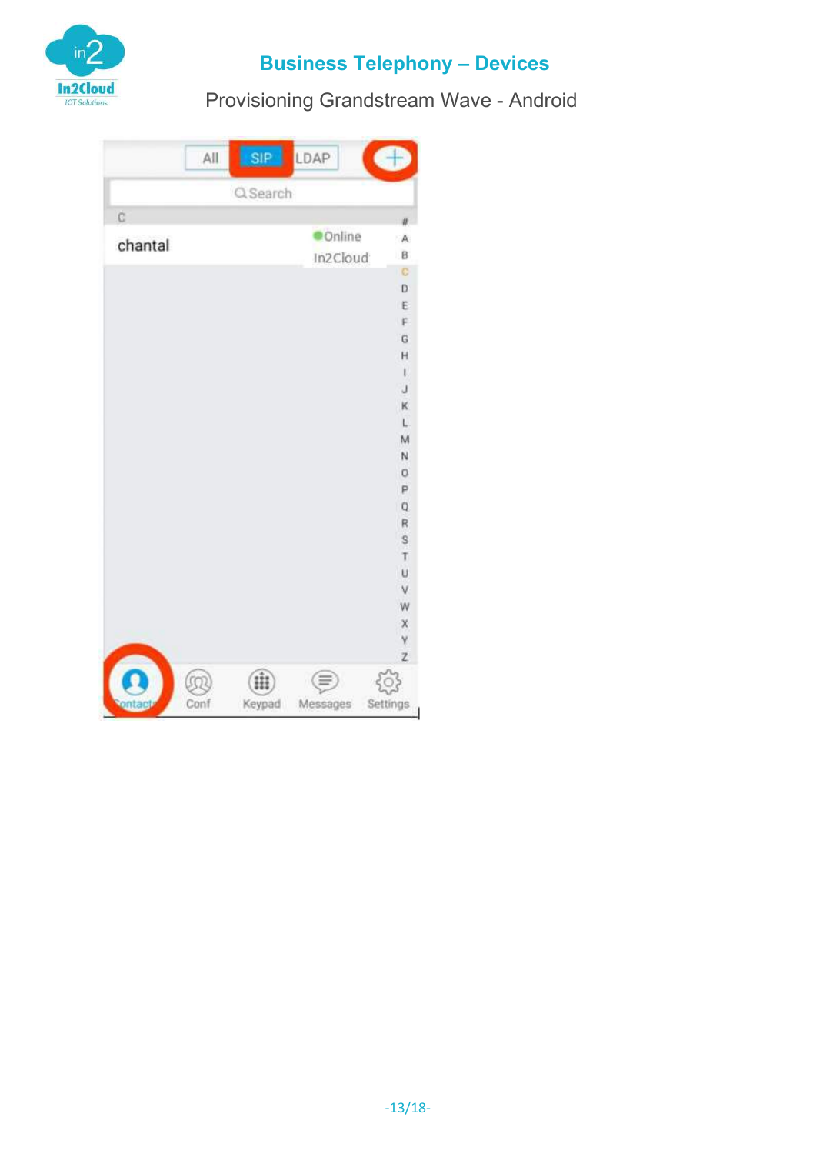

Provisioning Grandstream Wave - Android

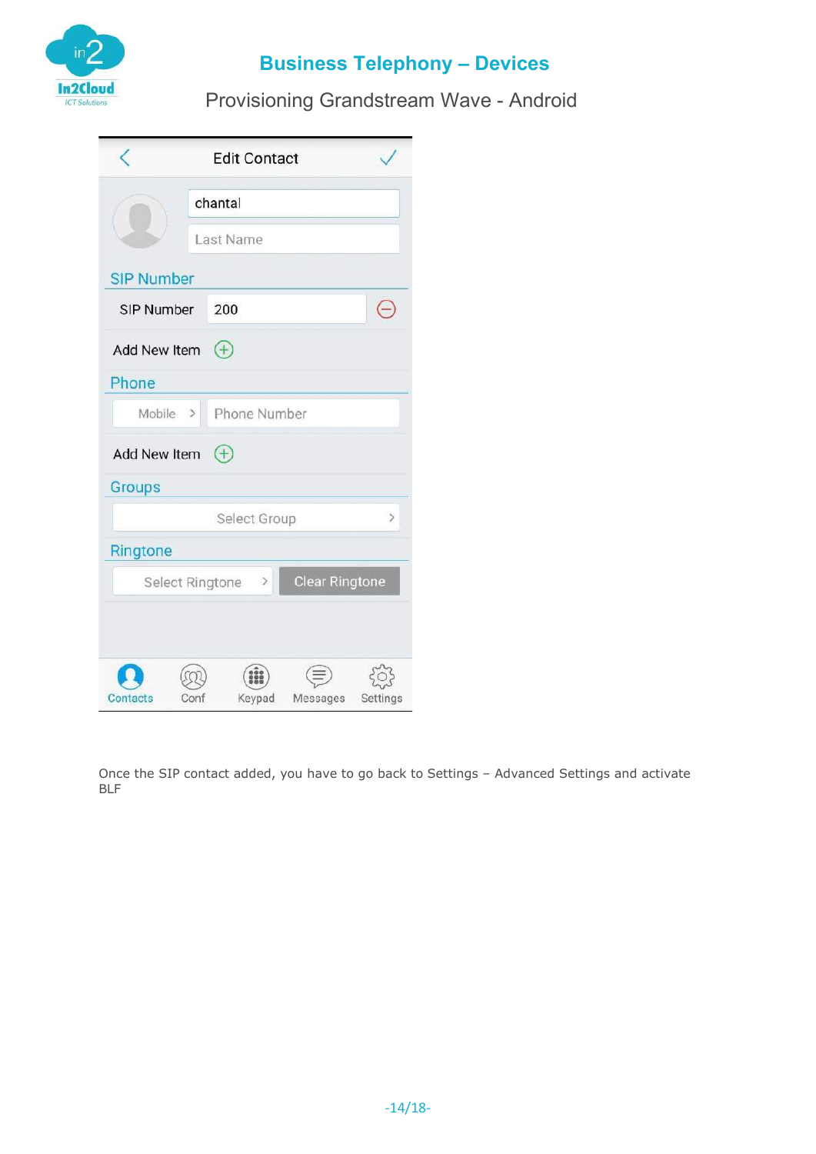

Provisioning Grandstream Wave - Android

|                   |               | <b>Edit Contact</b> |                       |          |
|-------------------|---------------|---------------------|-----------------------|----------|
|                   |               | chantal             |                       |          |
|                   |               | Last Name           |                       |          |
| <b>SIP Number</b> |               |                     |                       |          |
| SIP Number        |               | 200                 |                       |          |
| Add New Item      |               | $^{(+)}$            |                       |          |
| Phone             |               |                     |                       |          |
| Mobile            | $\rightarrow$ | Phone Number        |                       |          |
| Add New Item      |               | $^{(+)}$            |                       |          |
| Groups            |               |                     |                       |          |
|                   |               | Select Group        |                       | $\geq$   |
| Ringtone          |               |                     |                       |          |
| Select Ringtone   |               | $\,$                | <b>Clear Ringtone</b> |          |
|                   |               |                     |                       |          |
| Contacts          | Conf          | Keypad              | Messages              | Settings |

Once the SIP contact added, you have to go back to Settings – Advanced Settings and activate BLF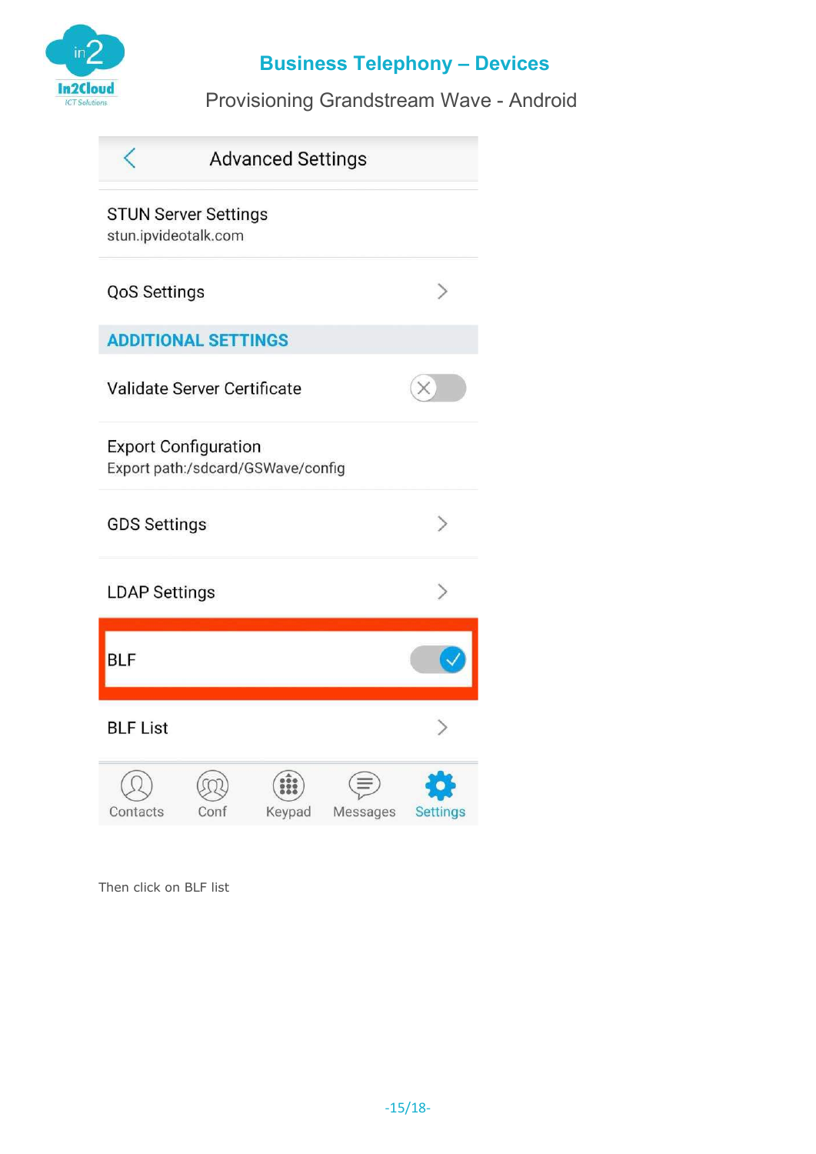

Provisioning Grandstream Wave - Android

|                                                                  |  | <b>Advanced Settings</b> |  |
|------------------------------------------------------------------|--|--------------------------|--|
| <b>STUN Server Settings</b><br>stun.ipvideotalk.com              |  |                          |  |
| <b>QoS Settings</b>                                              |  |                          |  |
| <b>ADDITIONAL SETTINGS</b>                                       |  |                          |  |
| Validate Server Certificate                                      |  |                          |  |
| <b>Export Configuration</b><br>Export path:/sdcard/GSWave/config |  |                          |  |
|                                                                  |  |                          |  |
| <b>GDS Settings</b>                                              |  |                          |  |
| <b>LDAP Settings</b>                                             |  |                          |  |
| <b>BLF</b>                                                       |  |                          |  |
| <b>BLF List</b>                                                  |  |                          |  |

Then click on BLF list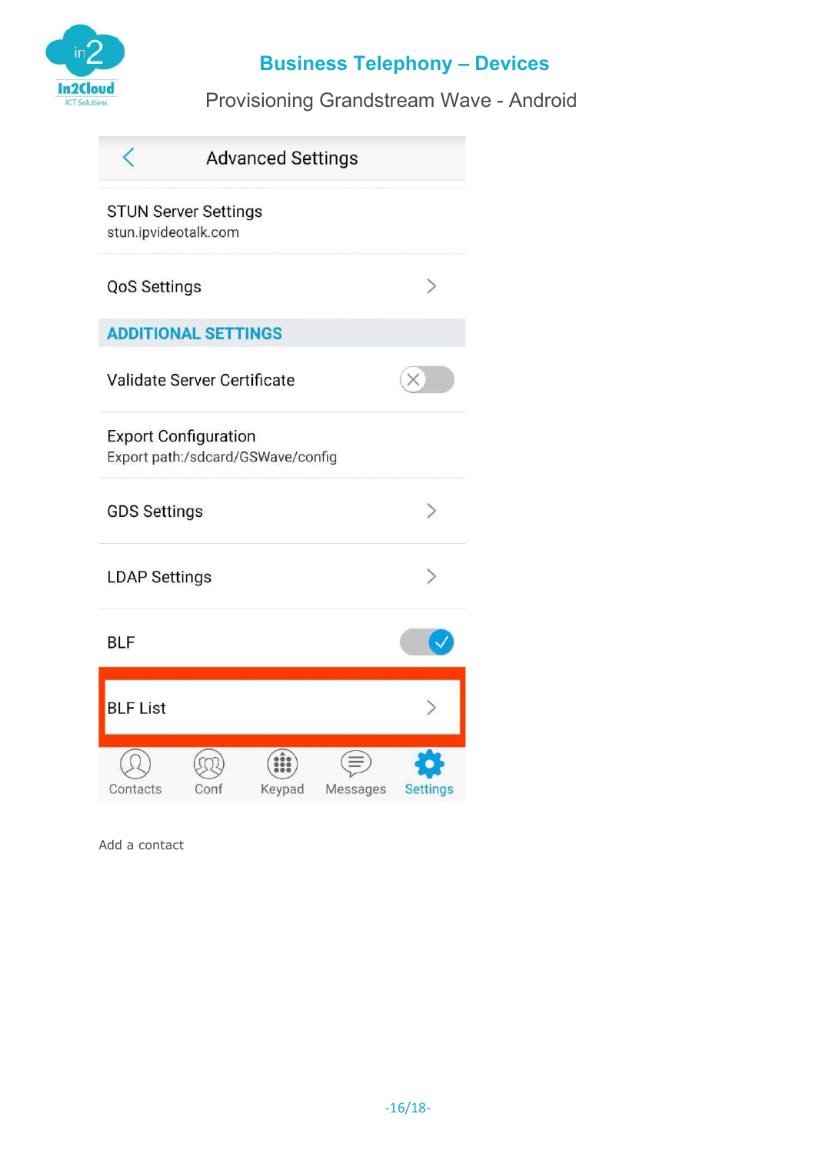

Provisioning Grandstream Wave - Android

|                                                                  |      | <b>Advanced Settings</b> |          |                 |
|------------------------------------------------------------------|------|--------------------------|----------|-----------------|
| <b>STUN Server Settings</b><br>stun.ipvideotalk.com              |      |                          |          |                 |
| <b>QoS Settings</b>                                              |      |                          |          |                 |
| <b>ADDITIONAL SETTINGS</b>                                       |      |                          |          |                 |
| Validate Server Certificate                                      |      |                          |          |                 |
| <b>Export Configuration</b><br>Export path:/sdcard/GSWave/config |      |                          |          |                 |
| <b>GDS Settings</b>                                              |      |                          |          |                 |
| <b>LDAP Settings</b>                                             |      |                          |          |                 |
| <b>BLF</b>                                                       |      |                          |          |                 |
| <b>BLF List</b>                                                  |      |                          |          |                 |
| Contacts                                                         | Conf | Keypad                   | Messages | <b>Settings</b> |

Add a contact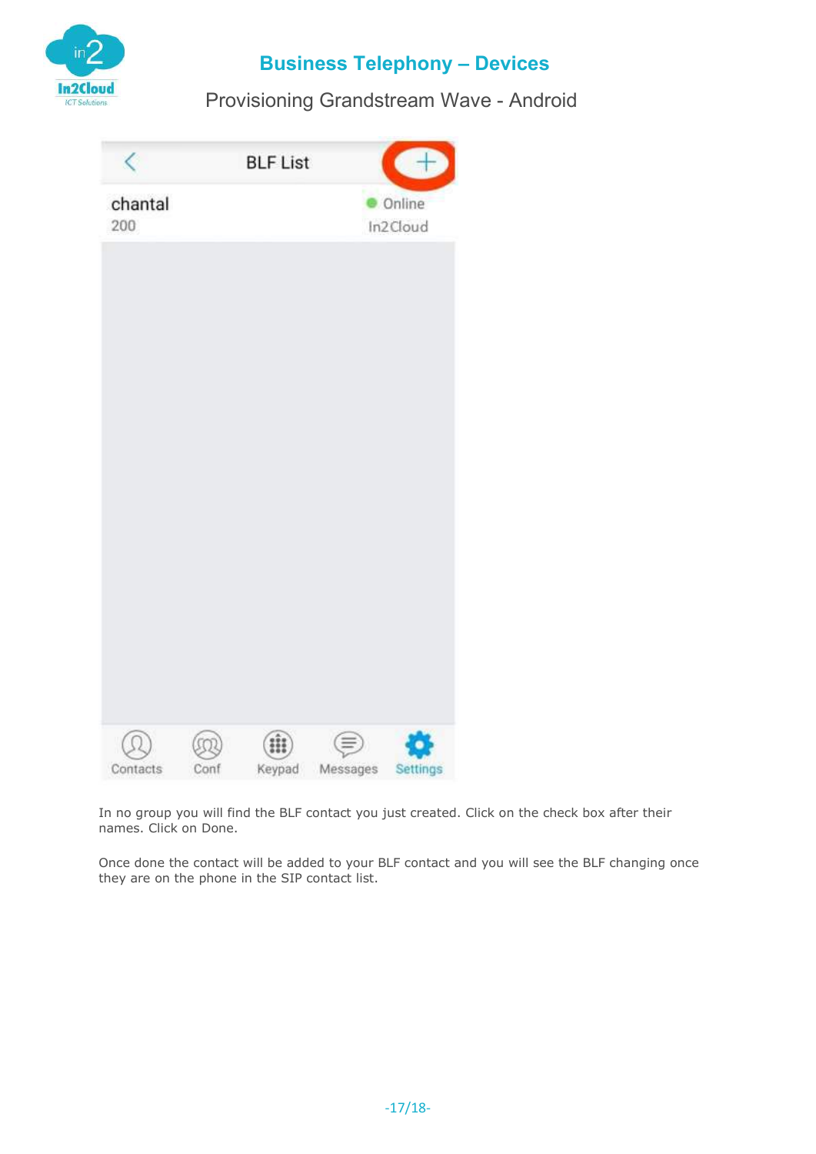

Provisioning Grandstream Wave - Android



In no group you will find the BLF contact you just created. Click on the check box after their names. Click on Done.

Once done the contact will be added to your BLF contact and you will see the BLF changing once they are on the phone in the SIP contact list.